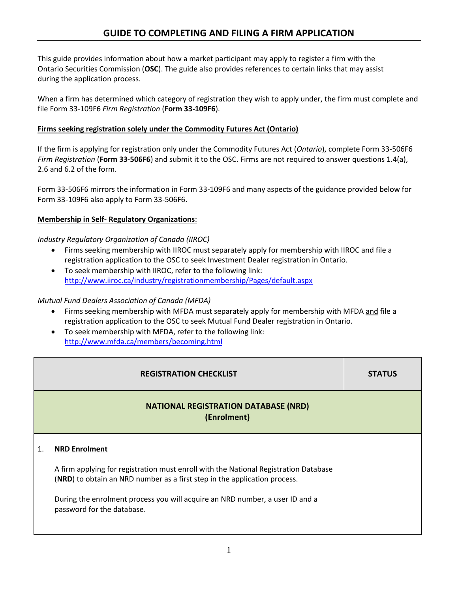This guide provides information about how a market participant may apply to register a firm with the Ontario Securities Commission (**OSC**). The guide also provides references to certain links that may assist during the application process.

When a firm has determined which category of registration they wish to apply under, the firm must complete and file Form 33-109F6 *Firm Registration* (**Form 33-109F6**).

#### **Firms seeking registration solely under the Commodity Futures Act (Ontario)**

If the firm is applying for registration only under the Commodity Futures Act (*Ontario*), complete Form 33-506F6 *Firm Registration* (**Form 33-506F6**) and submit it to the OSC. Firms are not required to answer questions 1.4(a), 2.6 and 6.2 of the form.

Form 33-506F6 mirrors the information in Form 33-109F6 and many aspects of the guidance provided below for Form 33-109F6 also apply to Form 33-506F6.

#### **Membership in Self- Regulatory Organizations**:

#### *Industry Regulatory Organization of Canada (IIROC)*

- Firms seeking membership with IIROC must separately apply for membership with IIROC and file a registration application to the OSC to seek Investment Dealer registration in Ontario.
- To seek membership with IIROC, refer to the following link: <http://www.iiroc.ca/industry/registrationmembership/Pages/default.aspx>

#### *Mutual Fund Dealers Association of Canada (MFDA)*

- Firms seeking membership with MFDA must separately apply for membership with MFDA and file a registration application to the OSC to seek Mutual Fund Dealer registration in Ontario.
- To seek membership with MFDA, refer to the following link: <http://www.mfda.ca/members/becoming.html>

| <b>REGISTRATION CHECKLIST</b>                                                                                                                                                                                                                                                                           | <b>STATUS</b> |
|---------------------------------------------------------------------------------------------------------------------------------------------------------------------------------------------------------------------------------------------------------------------------------------------------------|---------------|
| <b>NATIONAL REGISTRATION DATABASE (NRD)</b><br>(Enrolment)                                                                                                                                                                                                                                              |               |
| <b>NRD Enrolment</b><br>A firm applying for registration must enroll with the National Registration Database<br>(NRD) to obtain an NRD number as a first step in the application process.<br>During the enrolment process you will acquire an NRD number, a user ID and a<br>password for the database. |               |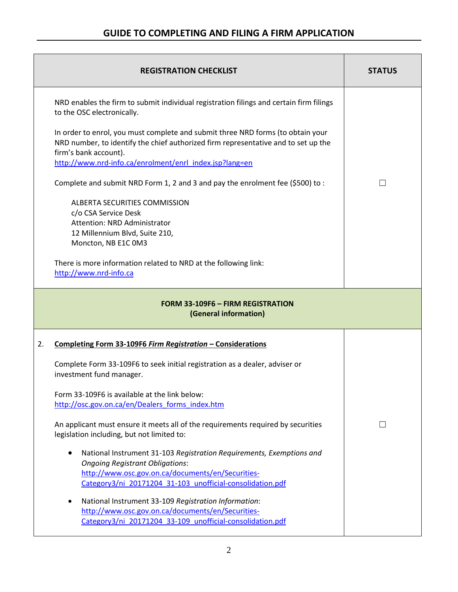| <b>REGISTRATION CHECKLIST</b>                                                                                                                                                                                                                             | <b>STATUS</b>            |
|-----------------------------------------------------------------------------------------------------------------------------------------------------------------------------------------------------------------------------------------------------------|--------------------------|
| NRD enables the firm to submit individual registration filings and certain firm filings<br>to the OSC electronically.                                                                                                                                     |                          |
| In order to enrol, you must complete and submit three NRD forms (to obtain your<br>NRD number, to identify the chief authorized firm representative and to set up the<br>firm's bank account).<br>http://www.nrd-info.ca/enrolment/enrl index.jsp?lang=en |                          |
| Complete and submit NRD Form 1, 2 and 3 and pay the enrolment fee $(5500)$ to:                                                                                                                                                                            |                          |
| ALBERTA SECURITIES COMMISSION<br>c/o CSA Service Desk<br>Attention: NRD Administrator<br>12 Millennium Blvd, Suite 210,<br>Moncton, NB E1C 0M3                                                                                                            |                          |
| There is more information related to NRD at the following link:<br>http://www.nrd-info.ca                                                                                                                                                                 |                          |
| <b>FORM 33-109F6 - FIRM REGISTRATION</b><br>(General information)                                                                                                                                                                                         |                          |
| 2.<br>Completing Form 33-109F6 Firm Registration - Considerations                                                                                                                                                                                         |                          |
| Complete Form 33-109F6 to seek initial registration as a dealer, adviser or<br>investment fund manager.                                                                                                                                                   |                          |
| Form 33-109F6 is available at the link below:<br>http://osc.gov.on.ca/en/Dealers_forms_index.htm                                                                                                                                                          |                          |
| An applicant must ensure it meets all of the requirements required by securities<br>legislation including, but not limited to:                                                                                                                            | $\overline{\phantom{0}}$ |
| National Instrument 31-103 Registration Requirements, Exemptions and<br><b>Ongoing Registrant Obligations:</b><br>http://www.osc.gov.on.ca/documents/en/Securities-<br>Category3/ni_20171204_31-103_unofficial-consolidation.pdf                          |                          |
| National Instrument 33-109 Registration Information:<br>http://www.osc.gov.on.ca/documents/en/Securities-<br>Category3/ni_20171204_33-109_unofficial-consolidation.pdf                                                                                    |                          |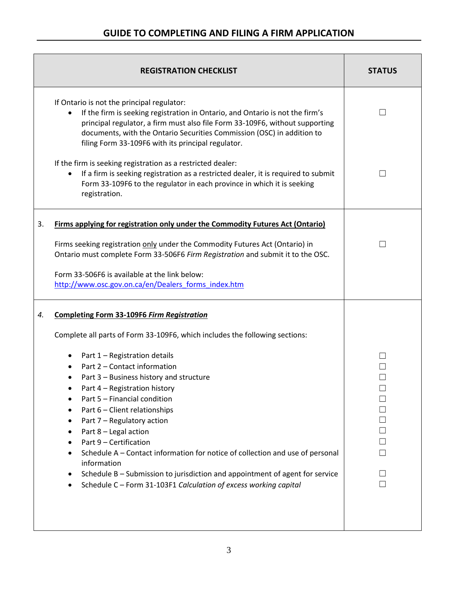| <b>REGISTRATION CHECKLIST</b>                                                                                                                                                                                                                                                                                                                                                                                                                                                                                                                             | <b>STATUS</b> |
|-----------------------------------------------------------------------------------------------------------------------------------------------------------------------------------------------------------------------------------------------------------------------------------------------------------------------------------------------------------------------------------------------------------------------------------------------------------------------------------------------------------------------------------------------------------|---------------|
| If Ontario is not the principal regulator:<br>If the firm is seeking registration in Ontario, and Ontario is not the firm's<br>principal regulator, a firm must also file Form 33-109F6, without supporting<br>documents, with the Ontario Securities Commission (OSC) in addition to<br>filing Form 33-109F6 with its principal regulator.                                                                                                                                                                                                               |               |
| If the firm is seeking registration as a restricted dealer:<br>If a firm is seeking registration as a restricted dealer, it is required to submit<br>Form 33-109F6 to the regulator in each province in which it is seeking<br>registration.                                                                                                                                                                                                                                                                                                              | ×.            |
| Firms applying for registration only under the Commodity Futures Act (Ontario)<br>3.                                                                                                                                                                                                                                                                                                                                                                                                                                                                      |               |
| Firms seeking registration only under the Commodity Futures Act (Ontario) in<br>Ontario must complete Form 33-506F6 Firm Registration and submit it to the OSC.                                                                                                                                                                                                                                                                                                                                                                                           |               |
| Form 33-506F6 is available at the link below:<br>http://www.osc.gov.on.ca/en/Dealers forms index.htm                                                                                                                                                                                                                                                                                                                                                                                                                                                      |               |
| <b>Completing Form 33-109F6 Firm Registration</b><br>4.                                                                                                                                                                                                                                                                                                                                                                                                                                                                                                   |               |
| Complete all parts of Form 33-109F6, which includes the following sections:                                                                                                                                                                                                                                                                                                                                                                                                                                                                               |               |
| Part 1 - Registration details<br>٠<br>Part 2 - Contact information<br>Part 3 - Business history and structure<br>Part 4 - Registration history<br>Part 5 - Financial condition<br>Part 6 - Client relationships<br>Part 7 - Regulatory action<br>٠<br>Part 8 - Legal action<br>Part 9 - Certification<br>Schedule A - Contact information for notice of collection and use of personal<br>information<br>Schedule B - Submission to jurisdiction and appointment of agent for service<br>Schedule C - Form 31-103F1 Calculation of excess working capital | ⊔             |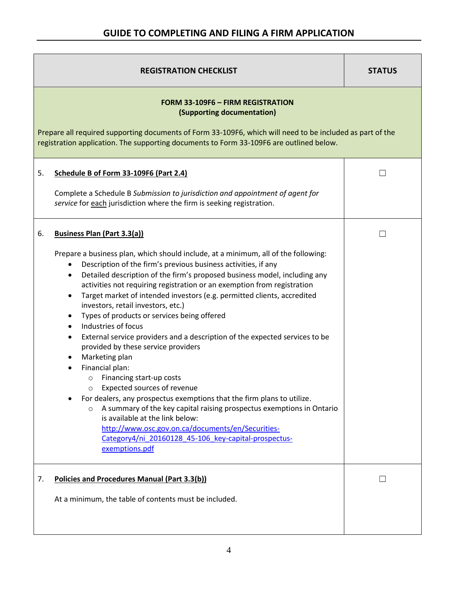| <b>REGISTRATION CHECKLIST</b>                                                                                                                                                                                                                                                                                                                                                                                                                                                                                                                                                                                                                                                                                                                                                                                                                                                                                                                                                                                                                                                                                                                                                    | <b>STATUS</b> |
|----------------------------------------------------------------------------------------------------------------------------------------------------------------------------------------------------------------------------------------------------------------------------------------------------------------------------------------------------------------------------------------------------------------------------------------------------------------------------------------------------------------------------------------------------------------------------------------------------------------------------------------------------------------------------------------------------------------------------------------------------------------------------------------------------------------------------------------------------------------------------------------------------------------------------------------------------------------------------------------------------------------------------------------------------------------------------------------------------------------------------------------------------------------------------------|---------------|
| <b>FORM 33-109F6 - FIRM REGISTRATION</b><br>(Supporting documentation)<br>Prepare all required supporting documents of Form 33-109F6, which will need to be included as part of the<br>registration application. The supporting documents to Form 33-109F6 are outlined below.                                                                                                                                                                                                                                                                                                                                                                                                                                                                                                                                                                                                                                                                                                                                                                                                                                                                                                   |               |
| Schedule B of Form 33-109F6 (Part 2.4)<br>5.<br>Complete a Schedule B Submission to jurisdiction and appointment of agent for<br>service for each jurisdiction where the firm is seeking registration.                                                                                                                                                                                                                                                                                                                                                                                                                                                                                                                                                                                                                                                                                                                                                                                                                                                                                                                                                                           | $\mathbf{L}$  |
| <b>Business Plan (Part 3.3(a))</b><br>6.<br>Prepare a business plan, which should include, at a minimum, all of the following:<br>Description of the firm's previous business activities, if any<br>٠<br>Detailed description of the firm's proposed business model, including any<br>٠<br>activities not requiring registration or an exemption from registration<br>Target market of intended investors (e.g. permitted clients, accredited<br>٠<br>investors, retail investors, etc.)<br>Types of products or services being offered<br>$\bullet$<br>Industries of focus<br>$\bullet$<br>External service providers and a description of the expected services to be<br>$\bullet$<br>provided by these service providers<br>Marketing plan<br>٠<br>Financial plan:<br>٠<br>Financing start-up costs<br>$\circ$<br>Expected sources of revenue<br>For dealers, any prospectus exemptions that the firm plans to utilize.<br>A summary of the key capital raising prospectus exemptions in Ontario<br>$\circ$<br>is available at the link below:<br>http://www.osc.gov.on.ca/documents/en/Securities-<br>Category4/ni 20160128 45-106 key-capital-prospectus-<br>exemptions.pdf | $\mathbf{L}$  |
| <b>Policies and Procedures Manual (Part 3.3(b))</b><br>7.<br>At a minimum, the table of contents must be included.                                                                                                                                                                                                                                                                                                                                                                                                                                                                                                                                                                                                                                                                                                                                                                                                                                                                                                                                                                                                                                                               |               |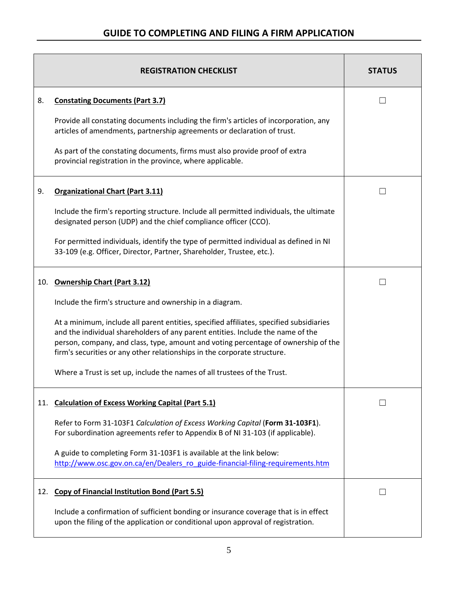|     | <b>REGISTRATION CHECKLIST</b>                                                                                                                                                                                                                                                                                                                | <b>STATUS</b> |
|-----|----------------------------------------------------------------------------------------------------------------------------------------------------------------------------------------------------------------------------------------------------------------------------------------------------------------------------------------------|---------------|
| 8.  | <b>Constating Documents (Part 3.7)</b>                                                                                                                                                                                                                                                                                                       |               |
|     | Provide all constating documents including the firm's articles of incorporation, any<br>articles of amendments, partnership agreements or declaration of trust.                                                                                                                                                                              |               |
|     | As part of the constating documents, firms must also provide proof of extra<br>provincial registration in the province, where applicable.                                                                                                                                                                                                    |               |
| 9.  | <b>Organizational Chart (Part 3.11)</b>                                                                                                                                                                                                                                                                                                      |               |
|     | Include the firm's reporting structure. Include all permitted individuals, the ultimate<br>designated person (UDP) and the chief compliance officer (CCO).                                                                                                                                                                                   |               |
|     | For permitted individuals, identify the type of permitted individual as defined in NI<br>33-109 (e.g. Officer, Director, Partner, Shareholder, Trustee, etc.).                                                                                                                                                                               |               |
|     | 10. Ownership Chart (Part 3.12)                                                                                                                                                                                                                                                                                                              |               |
|     | Include the firm's structure and ownership in a diagram.                                                                                                                                                                                                                                                                                     |               |
|     | At a minimum, include all parent entities, specified affiliates, specified subsidiaries<br>and the individual shareholders of any parent entities. Include the name of the<br>person, company, and class, type, amount and voting percentage of ownership of the<br>firm's securities or any other relationships in the corporate structure. |               |
|     | Where a Trust is set up, include the names of all trustees of the Trust.                                                                                                                                                                                                                                                                     |               |
|     | 11. Calculation of Excess Working Capital (Part 5.1)                                                                                                                                                                                                                                                                                         |               |
|     | Refer to Form 31-103F1 Calculation of Excess Working Capital (Form 31-103F1).<br>For subordination agreements refer to Appendix B of NI 31-103 (if applicable).                                                                                                                                                                              |               |
|     | A guide to completing Form 31-103F1 is available at the link below:<br>http://www.osc.gov.on.ca/en/Dealers ro guide-financial-filing-requirements.htm                                                                                                                                                                                        |               |
| 12. | <b>Copy of Financial Institution Bond (Part 5.5)</b>                                                                                                                                                                                                                                                                                         |               |
|     | Include a confirmation of sufficient bonding or insurance coverage that is in effect<br>upon the filing of the application or conditional upon approval of registration.                                                                                                                                                                     |               |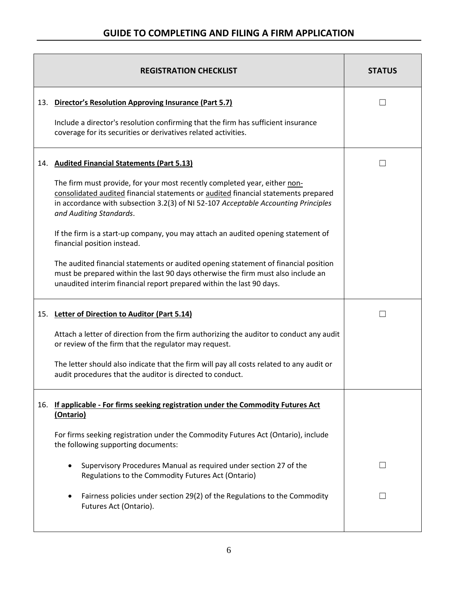| <b>REGISTRATION CHECKLIST</b>                                                                                                                                                                                                                                                    | <b>STATUS</b> |
|----------------------------------------------------------------------------------------------------------------------------------------------------------------------------------------------------------------------------------------------------------------------------------|---------------|
| 13. Director's Resolution Approving Insurance (Part 5.7)                                                                                                                                                                                                                         |               |
| Include a director's resolution confirming that the firm has sufficient insurance<br>coverage for its securities or derivatives related activities.                                                                                                                              |               |
| 14. Audited Financial Statements (Part 5.13)                                                                                                                                                                                                                                     | $\mathsf{L}$  |
| The firm must provide, for your most recently completed year, either non-<br>consolidated audited financial statements or audited financial statements prepared<br>in accordance with subsection 3.2(3) of NI 52-107 Acceptable Accounting Principles<br>and Auditing Standards. |               |
| If the firm is a start-up company, you may attach an audited opening statement of<br>financial position instead.                                                                                                                                                                 |               |
| The audited financial statements or audited opening statement of financial position<br>must be prepared within the last 90 days otherwise the firm must also include an<br>unaudited interim financial report prepared within the last 90 days.                                  |               |
| 15. Letter of Direction to Auditor (Part 5.14)                                                                                                                                                                                                                                   |               |
| Attach a letter of direction from the firm authorizing the auditor to conduct any audit<br>or review of the firm that the regulator may request.                                                                                                                                 |               |
| The letter should also indicate that the firm will pay all costs related to any audit or<br>audit procedures that the auditor is directed to conduct.                                                                                                                            |               |
| 16. If applicable - For firms seeking registration under the Commodity Futures Act<br>(Ontario)                                                                                                                                                                                  |               |
| For firms seeking registration under the Commodity Futures Act (Ontario), include<br>the following supporting documents:                                                                                                                                                         |               |
| Supervisory Procedures Manual as required under section 27 of the<br>Regulations to the Commodity Futures Act (Ontario)                                                                                                                                                          | $\mathsf{L}$  |
| Fairness policies under section 29(2) of the Regulations to the Commodity<br>٠<br>Futures Act (Ontario).                                                                                                                                                                         |               |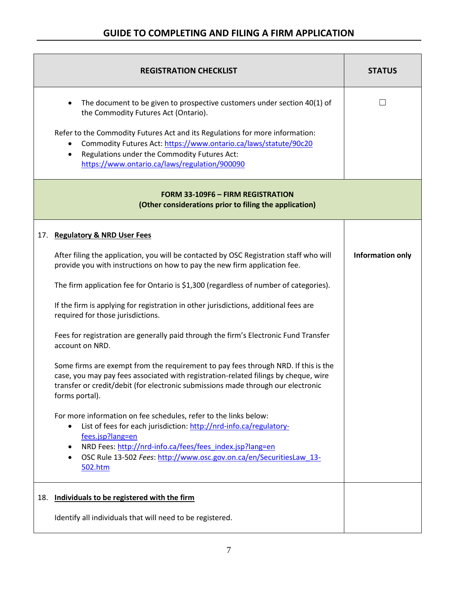|     | <b>REGISTRATION CHECKLIST</b>                                                                                                                                                                                                                                                                                      | <b>STATUS</b>           |
|-----|--------------------------------------------------------------------------------------------------------------------------------------------------------------------------------------------------------------------------------------------------------------------------------------------------------------------|-------------------------|
|     | The document to be given to prospective customers under section 40(1) of<br>the Commodity Futures Act (Ontario).                                                                                                                                                                                                   |                         |
|     | Refer to the Commodity Futures Act and its Regulations for more information:<br>Commodity Futures Act: https://www.ontario.ca/laws/statute/90c20<br>Regulations under the Commodity Futures Act:<br>$\bullet$<br>https://www.ontario.ca/laws/regulation/900090                                                     |                         |
|     | <b>FORM 33-109F6 - FIRM REGISTRATION</b><br>(Other considerations prior to filing the application)                                                                                                                                                                                                                 |                         |
|     | 17. Regulatory & NRD User Fees                                                                                                                                                                                                                                                                                     |                         |
|     | After filing the application, you will be contacted by OSC Registration staff who will<br>provide you with instructions on how to pay the new firm application fee.                                                                                                                                                | <b>Information only</b> |
|     | The firm application fee for Ontario is \$1,300 (regardless of number of categories).                                                                                                                                                                                                                              |                         |
|     | If the firm is applying for registration in other jurisdictions, additional fees are<br>required for those jurisdictions.                                                                                                                                                                                          |                         |
|     | Fees for registration are generally paid through the firm's Electronic Fund Transfer<br>account on NRD.                                                                                                                                                                                                            |                         |
|     | Some firms are exempt from the requirement to pay fees through NRD. If this is the<br>case, you may pay fees associated with registration-related filings by cheque, wire<br>transfer or credit/debit (for electronic submissions made through our electronic<br>forms portal).                                    |                         |
|     | For more information on fee schedules, refer to the links below:<br>List of fees for each jurisdiction: http://nrd-info.ca/regulatory-<br>fees.jsp?lang=en<br>NRD Fees: http://nrd-info.ca/fees/fees_index.jsp?lang=en<br>٠<br>OSC Rule 13-502 Fees: http://www.osc.gov.on.ca/en/SecuritiesLaw 13-<br>٠<br>502.htm |                         |
| 18. | Individuals to be registered with the firm                                                                                                                                                                                                                                                                         |                         |
|     | Identify all individuals that will need to be registered.                                                                                                                                                                                                                                                          |                         |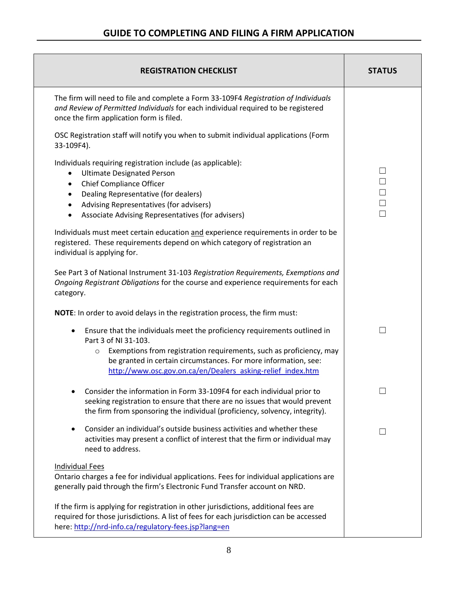| <b>REGISTRATION CHECKLIST</b>                                                                                                                                                                                                                                                                                                                | <b>STATUS</b>                        |
|----------------------------------------------------------------------------------------------------------------------------------------------------------------------------------------------------------------------------------------------------------------------------------------------------------------------------------------------|--------------------------------------|
| The firm will need to file and complete a Form 33-109F4 Registration of Individuals<br>and Review of Permitted Individuals for each individual required to be registered<br>once the firm application form is filed.                                                                                                                         |                                      |
| OSC Registration staff will notify you when to submit individual applications (Form<br>33-109F4).                                                                                                                                                                                                                                            |                                      |
| Individuals requiring registration include (as applicable):<br><b>Ultimate Designated Person</b><br>$\bullet$<br><b>Chief Compliance Officer</b><br>$\bullet$<br>Dealing Representative (for dealers)<br>$\bullet$<br>Advising Representatives (for advisers)<br>$\bullet$<br>Associate Advising Representatives (for advisers)<br>$\bullet$ | $\Box$<br>$\Box$<br>$\Box$<br>$\Box$ |
| Individuals must meet certain education and experience requirements in order to be<br>registered. These requirements depend on which category of registration an<br>individual is applying for.                                                                                                                                              |                                      |
| See Part 3 of National Instrument 31-103 Registration Requirements, Exemptions and<br>Ongoing Registrant Obligations for the course and experience requirements for each<br>category.                                                                                                                                                        |                                      |
| NOTE: In order to avoid delays in the registration process, the firm must:                                                                                                                                                                                                                                                                   |                                      |
| Ensure that the individuals meet the proficiency requirements outlined in<br>$\bullet$<br>Part 3 of NI 31-103.<br>Exemptions from registration requirements, such as proficiency, may<br>$\circ$<br>be granted in certain circumstances. For more information, see:<br>http://www.osc.gov.on.ca/en/Dealers asking-relief index.htm           |                                      |
| Consider the information in Form 33-109F4 for each individual prior to<br>seeking registration to ensure that there are no issues that would prevent<br>the firm from sponsoring the individual (proficiency, solvency, integrity).                                                                                                          | ┌─┐                                  |
| Consider an individual's outside business activities and whether these<br>$\bullet$<br>activities may present a conflict of interest that the firm or individual may<br>need to address.                                                                                                                                                     |                                      |
| <b>Individual Fees</b><br>Ontario charges a fee for individual applications. Fees for individual applications are<br>generally paid through the firm's Electronic Fund Transfer account on NRD.                                                                                                                                              |                                      |
| If the firm is applying for registration in other jurisdictions, additional fees are<br>required for those jurisdictions. A list of fees for each jurisdiction can be accessed<br>here: http://nrd-info.ca/regulatory-fees.jsp?lang=en                                                                                                       |                                      |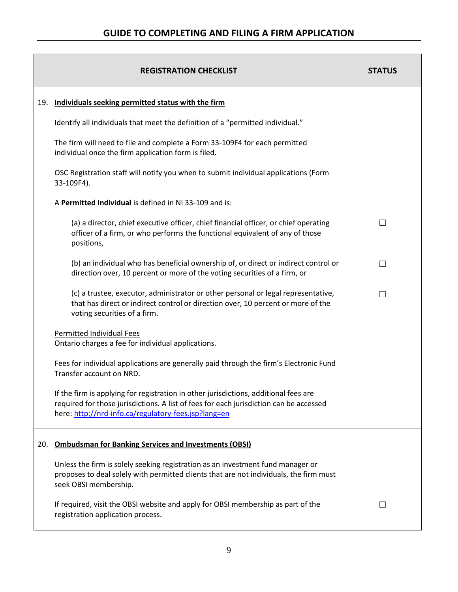|     | <b>REGISTRATION CHECKLIST</b>                                                                                                                                                                                                          | <b>STATUS</b> |
|-----|----------------------------------------------------------------------------------------------------------------------------------------------------------------------------------------------------------------------------------------|---------------|
| 19. | Individuals seeking permitted status with the firm                                                                                                                                                                                     |               |
|     | Identify all individuals that meet the definition of a "permitted individual."                                                                                                                                                         |               |
|     | The firm will need to file and complete a Form 33-109F4 for each permitted<br>individual once the firm application form is filed.                                                                                                      |               |
|     | OSC Registration staff will notify you when to submit individual applications (Form<br>33-109F4).                                                                                                                                      |               |
|     | A Permitted Individual is defined in NI 33-109 and is:                                                                                                                                                                                 |               |
|     | (a) a director, chief executive officer, chief financial officer, or chief operating<br>officer of a firm, or who performs the functional equivalent of any of those<br>positions,                                                     | $\mathsf{L}$  |
|     | (b) an individual who has beneficial ownership of, or direct or indirect control or<br>direction over, 10 percent or more of the voting securities of a firm, or                                                                       | $\perp$       |
|     | (c) a trustee, executor, administrator or other personal or legal representative,<br>that has direct or indirect control or direction over, 10 percent or more of the<br>voting securities of a firm.                                  | $\mathsf{L}$  |
|     | <b>Permitted Individual Fees</b><br>Ontario charges a fee for individual applications.                                                                                                                                                 |               |
|     | Fees for individual applications are generally paid through the firm's Electronic Fund<br>Transfer account on NRD.                                                                                                                     |               |
|     | If the firm is applying for registration in other jurisdictions, additional fees are<br>required for those jurisdictions. A list of fees for each jurisdiction can be accessed<br>here: http://nrd-info.ca/regulatory-fees.jsp?lang=en |               |
| 20. | <b>Ombudsman for Banking Services and Investments (OBSI)</b>                                                                                                                                                                           |               |
|     | Unless the firm is solely seeking registration as an investment fund manager or<br>proposes to deal solely with permitted clients that are not individuals, the firm must<br>seek OBSI membership.                                     |               |
|     | If required, visit the OBSI website and apply for OBSI membership as part of the<br>registration application process.                                                                                                                  | $\perp$       |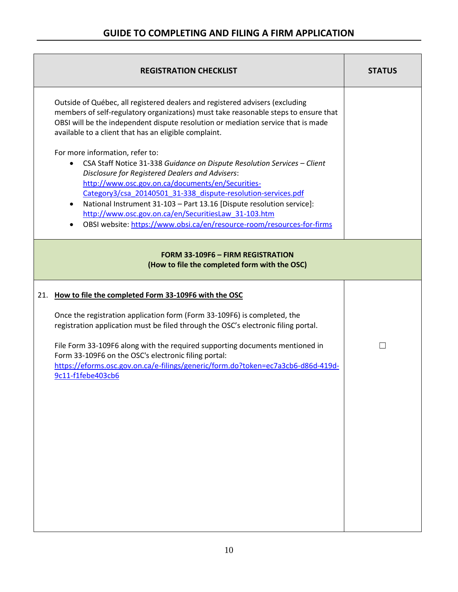| <b>REGISTRATION CHECKLIST</b>                                                                                                                                                                                                                                                                                                                                                                                                                                                                                                    | <b>STATUS</b> |
|----------------------------------------------------------------------------------------------------------------------------------------------------------------------------------------------------------------------------------------------------------------------------------------------------------------------------------------------------------------------------------------------------------------------------------------------------------------------------------------------------------------------------------|---------------|
| Outside of Québec, all registered dealers and registered advisers (excluding<br>members of self-regulatory organizations) must take reasonable steps to ensure that<br>OBSI will be the independent dispute resolution or mediation service that is made<br>available to a client that has an eligible complaint.                                                                                                                                                                                                                |               |
| For more information, refer to:<br>CSA Staff Notice 31-338 Guidance on Dispute Resolution Services - Client<br>$\bullet$<br><b>Disclosure for Registered Dealers and Advisers:</b><br>http://www.osc.gov.on.ca/documents/en/Securities-<br>Category3/csa 20140501 31-338 dispute-resolution-services.pdf<br>National Instrument 31-103 - Part 13.16 [Dispute resolution service]:<br>$\bullet$<br>http://www.osc.gov.on.ca/en/SecuritiesLaw 31-103.htm<br>OBSI website: https://www.obsi.ca/en/resource-room/resources-for-firms |               |
| <b>FORM 33-109F6 - FIRM REGISTRATION</b><br>(How to file the completed form with the OSC)                                                                                                                                                                                                                                                                                                                                                                                                                                        |               |
| 21. How to file the completed Form 33-109F6 with the OSC                                                                                                                                                                                                                                                                                                                                                                                                                                                                         |               |
| Once the registration application form (Form 33-109F6) is completed, the<br>registration application must be filed through the OSC's electronic filing portal.                                                                                                                                                                                                                                                                                                                                                                   |               |
| File Form 33-109F6 along with the required supporting documents mentioned in<br>Form 33-109F6 on the OSC's electronic filing portal:<br>https://eforms.osc.gov.on.ca/e-filings/generic/form.do?token=ec7a3cb6-d86d-419d-<br>9c11-f1febe403cb6                                                                                                                                                                                                                                                                                    |               |
|                                                                                                                                                                                                                                                                                                                                                                                                                                                                                                                                  |               |
|                                                                                                                                                                                                                                                                                                                                                                                                                                                                                                                                  |               |
|                                                                                                                                                                                                                                                                                                                                                                                                                                                                                                                                  |               |
|                                                                                                                                                                                                                                                                                                                                                                                                                                                                                                                                  |               |
|                                                                                                                                                                                                                                                                                                                                                                                                                                                                                                                                  |               |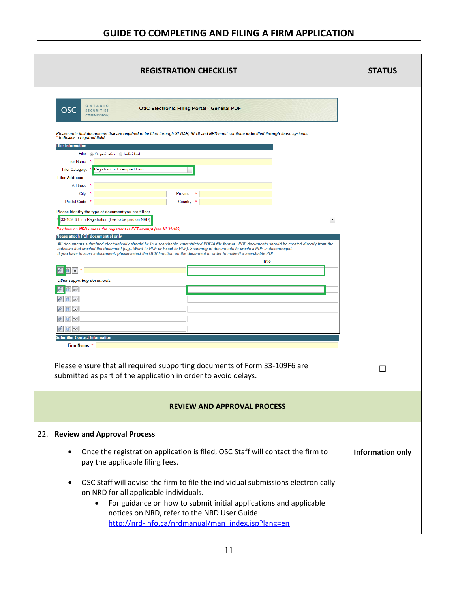| <b>REGISTRATION CHECKLIST</b>                                                                                                                                                                                                                                                                                                                                                                                                | <b>STATUS</b>    |
|------------------------------------------------------------------------------------------------------------------------------------------------------------------------------------------------------------------------------------------------------------------------------------------------------------------------------------------------------------------------------------------------------------------------------|------------------|
| OSC Electronic Filing Portal - General PDF<br>OSC<br><b>SECURITIES</b><br><b>COMMISSION</b>                                                                                                                                                                                                                                                                                                                                  |                  |
| Please note that documents that are required to be filed through SEDAR, SEDI and NRD must continue to be filed through those systems.                                                                                                                                                                                                                                                                                        |                  |
| ' Indicates a required field.<br><b>Filer Information</b>                                                                                                                                                                                                                                                                                                                                                                    |                  |
| Filer: Organization Olndividual                                                                                                                                                                                                                                                                                                                                                                                              |                  |
| Filer Name:                                                                                                                                                                                                                                                                                                                                                                                                                  |                  |
| Registrant or Exempted Firm<br>$\blacktriangledown$<br>Filer Category:                                                                                                                                                                                                                                                                                                                                                       |                  |
| <b>Filer Address:</b><br>Address:                                                                                                                                                                                                                                                                                                                                                                                            |                  |
| City:<br>Province: *                                                                                                                                                                                                                                                                                                                                                                                                         |                  |
| Postal Code:<br>Country: *                                                                                                                                                                                                                                                                                                                                                                                                   |                  |
| Please identify the type of document you are filing:                                                                                                                                                                                                                                                                                                                                                                         |                  |
| 33-109F6 Firm Registration (Fee to be paid on NRD)<br>$\blacktriangledown$                                                                                                                                                                                                                                                                                                                                                   |                  |
| Pay fees on NRD unless the registrant is EFT-exempt (see NI 31-102).<br>Please attach PDF document(s) only                                                                                                                                                                                                                                                                                                                   |                  |
| All documents submitted electronically should be in a searchable, unrestricted PDF/A file format. PDF documents should be created directly from the<br>software that created the document (e.g., Word to PDF or Excel to PDF). Scanning of documents to create a PDF is discouraged.<br>If you have to scan a document, please select the OCR function on the document in order to make it a searchable PDF.<br><b>Title</b> |                  |
| $\mathscr{O}$<br>$\Box$                                                                                                                                                                                                                                                                                                                                                                                                      |                  |
| Other supporting documents.                                                                                                                                                                                                                                                                                                                                                                                                  |                  |
| 16d                                                                                                                                                                                                                                                                                                                                                                                                                          |                  |
| $\mathscr{O}$ $\boxed{1}$ 6d                                                                                                                                                                                                                                                                                                                                                                                                 |                  |
| $\emptyset$ a $6d$                                                                                                                                                                                                                                                                                                                                                                                                           |                  |
| $\mathscr{O}$ $\boxed{1}$ 6d                                                                                                                                                                                                                                                                                                                                                                                                 |                  |
| $\mathscr{O}$ 0 6d                                                                                                                                                                                                                                                                                                                                                                                                           |                  |
| <b>Submitter Contact Information</b>                                                                                                                                                                                                                                                                                                                                                                                         |                  |
| Firm Name:                                                                                                                                                                                                                                                                                                                                                                                                                   |                  |
| Please ensure that all required supporting documents of Form 33-109F6 are<br>submitted as part of the application in order to avoid delays.                                                                                                                                                                                                                                                                                  |                  |
| <b>REVIEW AND APPROVAL PROCESS</b>                                                                                                                                                                                                                                                                                                                                                                                           |                  |
| <b>Review and Approval Process</b>                                                                                                                                                                                                                                                                                                                                                                                           |                  |
| Once the registration application is filed, OSC Staff will contact the firm to<br>٠<br>pay the applicable filing fees.                                                                                                                                                                                                                                                                                                       | Information only |
| OSC Staff will advise the firm to file the individual submissions electronically<br>٠<br>on NRD for all applicable individuals.<br>For guidance on how to submit initial applications and applicable<br>٠<br>notices on NRD, refer to the NRD User Guide:<br>http://nrd-info.ca/nrdmanual/man_index.jsp?lang=en                                                                                                              |                  |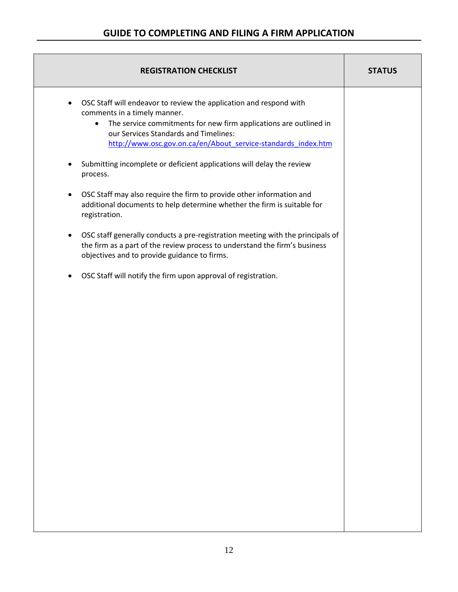| <b>REGISTRATION CHECKLIST</b>                                                                                                                                                                                                                                                                               | <b>STATUS</b> |
|-------------------------------------------------------------------------------------------------------------------------------------------------------------------------------------------------------------------------------------------------------------------------------------------------------------|---------------|
| OSC Staff will endeavor to review the application and respond with<br>$\bullet$<br>comments in a timely manner.<br>The service commitments for new firm applications are outlined in<br>$\bullet$<br>our Services Standards and Timelines:<br>http://www.osc.gov.on.ca/en/About service-standards index.htm |               |
| Submitting incomplete or deficient applications will delay the review<br>process.                                                                                                                                                                                                                           |               |
| OSC Staff may also require the firm to provide other information and<br>$\bullet$<br>additional documents to help determine whether the firm is suitable for<br>registration.                                                                                                                               |               |
| OSC staff generally conducts a pre-registration meeting with the principals of<br>$\bullet$<br>the firm as a part of the review process to understand the firm's business<br>objectives and to provide guidance to firms.                                                                                   |               |
| OSC Staff will notify the firm upon approval of registration.<br>$\bullet$                                                                                                                                                                                                                                  |               |
|                                                                                                                                                                                                                                                                                                             |               |
|                                                                                                                                                                                                                                                                                                             |               |
|                                                                                                                                                                                                                                                                                                             |               |
|                                                                                                                                                                                                                                                                                                             |               |
|                                                                                                                                                                                                                                                                                                             |               |
|                                                                                                                                                                                                                                                                                                             |               |
|                                                                                                                                                                                                                                                                                                             |               |